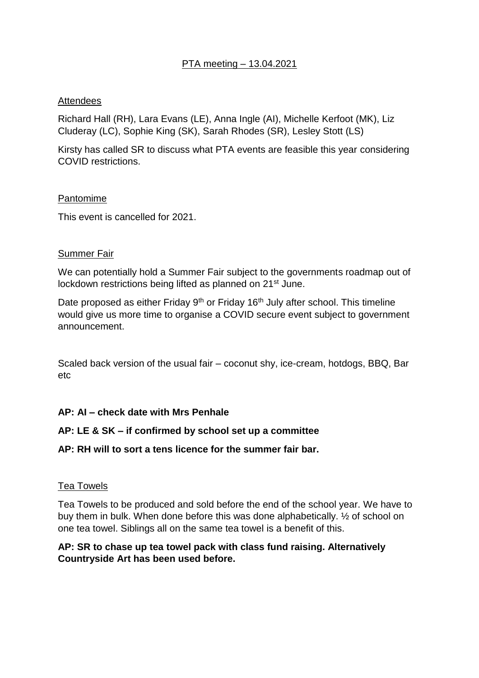## PTA meeting – 13.04.2021

## Attendees

Richard Hall (RH), Lara Evans (LE), Anna Ingle (AI), Michelle Kerfoot (MK), Liz Cluderay (LC), Sophie King (SK), Sarah Rhodes (SR), Lesley Stott (LS)

Kirsty has called SR to discuss what PTA events are feasible this year considering COVID restrictions.

#### Pantomime

This event is cancelled for 2021.

### **Summer Fair**

We can potentially hold a Summer Fair subject to the governments roadmap out of lockdown restrictions being lifted as planned on 21<sup>st</sup> June.

Date proposed as either Friday 9<sup>th</sup> or Friday 16<sup>th</sup> July after school. This timeline would give us more time to organise a COVID secure event subject to government announcement.

Scaled back version of the usual fair – coconut shy, ice-cream, hotdogs, BBQ, Bar etc

### **AP: AI – check date with Mrs Penhale**

### **AP: LE & SK – if confirmed by school set up a committee**

### **AP: RH will to sort a tens licence for the summer fair bar.**

### Tea Towels

Tea Towels to be produced and sold before the end of the school year. We have to buy them in bulk. When done before this was done alphabetically. ½ of school on one tea towel. Siblings all on the same tea towel is a benefit of this.

## **AP: SR to chase up tea towel pack with class fund raising. Alternatively Countryside Art has been used before.**